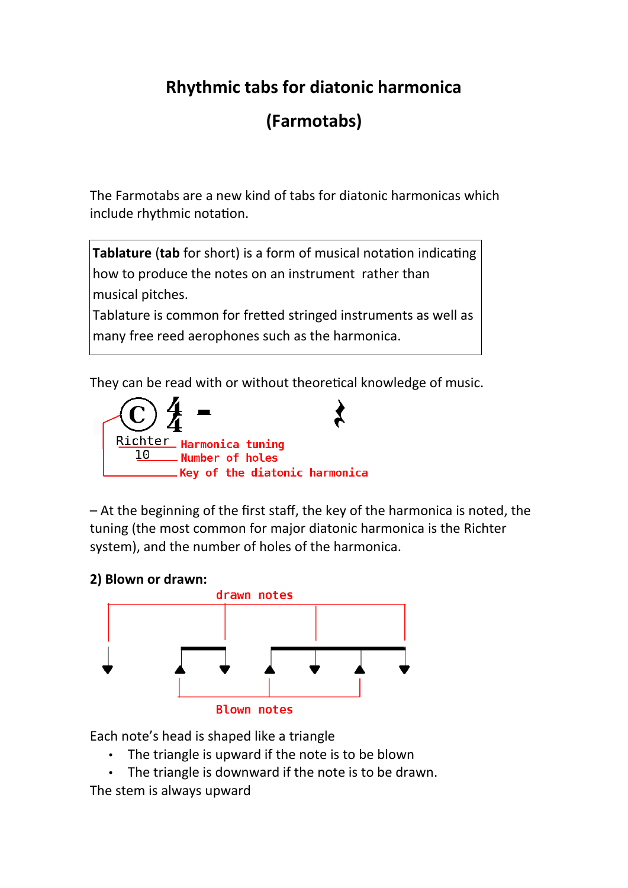# **Rhythmic tabs for diatonic harmonica**

# **(Farmotabs)**

The Farmotabs are a new kind of tabs for diatonic harmonicas which include rhythmic notation.

**Tablature** (**tab** for short) is a form of [musical notation](https://en.wikipedia.org/wiki/Musical_notation) indicating how to produce the notes on an instrument rather than musical pitches.

Tablature is common for [fretted](https://en.wikipedia.org/wiki/Fret) stringed instruments as well as many free reed aerophones such as the [harmonica.](https://en.wikipedia.org/wiki/Harmonica)

They can be read with or without theoretical knowledge of music.



– At the beginning of the first staff, the key of the harmonica is noted, the tuning (the most common for major diatonic harmonica is the Richter system), and the number of holes of the harmonica.

#### **2) Blown or drawn:**



Each note's head is shaped like a triangle

- The triangle is upward if the note is to be blown
- The triangle is downward if the note is to be drawn.

The stem is always upward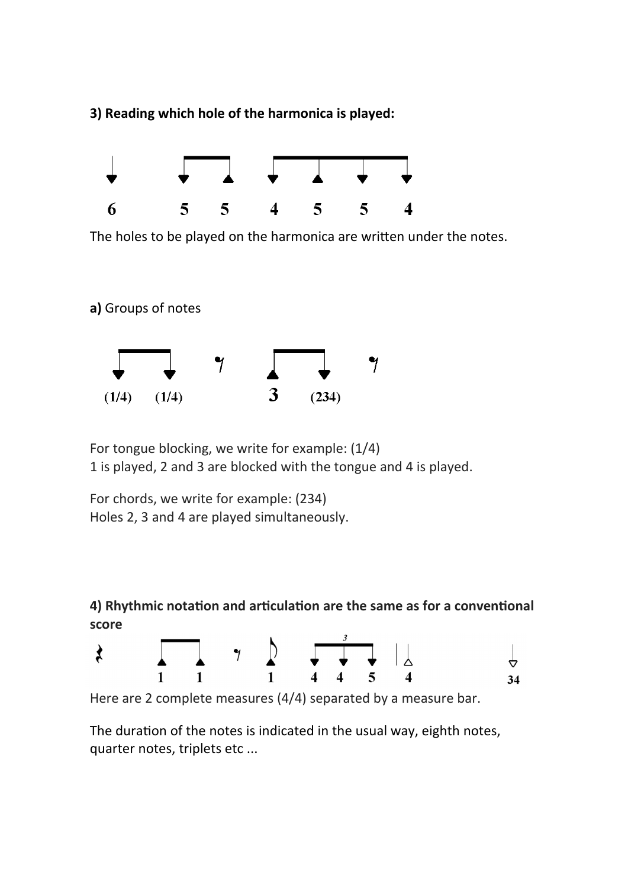**3) Reading which hole of the harmonica is played:**



The holes to be played on the harmonica are written under the notes.

**a)** Groups of notes



For tongue blocking, we write for example: (1/4) 1 is played, 2 and 3 are blocked with the tongue and 4 is played.

For chords, we write for example: (234) Holes 2, 3 and 4 are played simultaneously.

## **4) Rhythmic notation and articulation are the same as for a conventional score**



Here are 2 complete measures (4/4) separated by a measure bar.

The duration of the notes is indicated in the usual way, eighth notes, quarter notes, triplets etc ...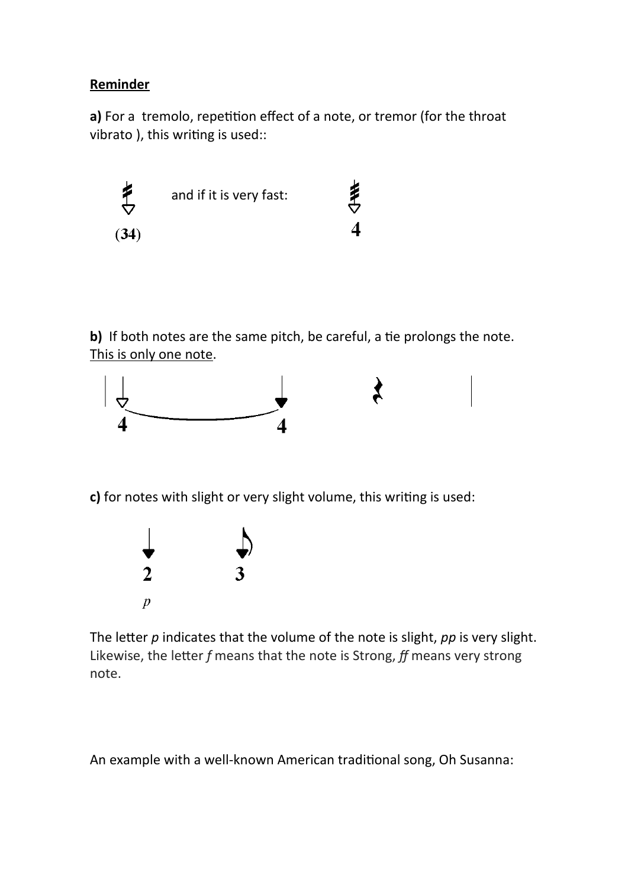### **Reminder**

**a)** For a tremolo, repetition effect of a note, or tremor (for the throat vibrato ), this writing is used::



**b)** If both notes are the same pitch, be careful, a tie prolongs the note. This is only one note.



**c)** for notes with slight or very slight volume, this writing is used:



The letter *p* indicates that the volume of the note is slight, *pp* is very slight. Likewise, the letter *f* means that the note is Strong, *ff* means very strong note.

An example with a well-known American traditional song, Oh Susanna: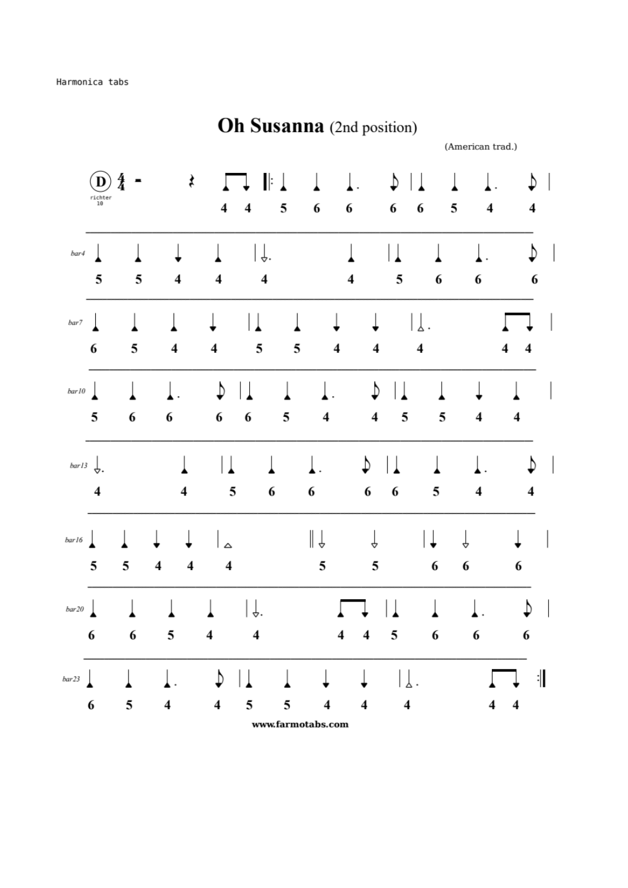$rac{4}{4}$ ₹  $\mathbf{(D}% )} \in \mathbb{R}^{N}\times \mathbb{R}^{N}\times \mathbb{R}^{N}\times \mathbb{R}^{N}\times \mathbb{R}^{N}\times \mathbb{R}^{N}\times \mathbb{R}^{N}\times \mathbb{R}^{N}\times \mathbb{R}^{N}\times \mathbb{R}^{N}\times \mathbb{R}^{N}\times \mathbb{R}^{N}\times \mathbb{R}^{N}\times \mathbb{R}^{N}\times \mathbb{R}^{N}\times \mathbb{R}^{N}\times \mathbb{R}^{N}\times \mathbb{R}^{N}\times \mathbb{R}^{N}\times \mathbb{R}^{N}\times \mathbb{R}^{N}\times$ ♪ T  $\perp$ . D  $\perp$ H:  $\widetilde{\phantom{a}}_{10}$ 5 6 6 6 5  $\overline{\mathbf{4}}$  $\overline{\mathbf{4}}$ 6  $\overline{\mathbf{4}}$  $\overline{\mathbf{4}}$ | ↓.  $\vert \, \vert$  $\overline{D}$  $\overline{1}$ T l ⊥  $\perp$  $bar4$ 5 5 5  $\overline{\mathbf{4}}$ 6  $\overline{\mathbf{4}}$  $\overline{\mathbf{4}}$ 6  $\overline{\mathbf{4}}$ 6  $\overline{\phantom{a}}$ ∣⊥  $|\,\!\rfloor$  . Ţ ↓  $\overline{1}$  $bar7$ 5 5 6 5  $\overline{\mathbf{4}}$  $\overline{\mathbf{4}}$  $\overline{\mathbf{4}}$  $\overline{\mathbf{4}}$  $\overline{\mathbf{4}}$  $\overline{\mathbf{4}}$ 4  $\downarrow$  $\overline{1}$  $\overline{1}$  $\mathfrak b$  $\overline{1}$  $\mathbf{L}$  $\overline{\phantom{a}}$  $bar10$  $\ddot{\phantom{a}}$  $\ddot{\phantom{0}}$  $\overline{\mathbf{5}}$  $\boldsymbol{6}$ 6 5 5 6 6  $\overline{\mathbf{4}}$ 5  $\overline{\mathbf{4}}$  $\overline{\mathbf{4}}$  $\overline{\mathbf{4}}$  $\mathsf{I}$ ♪  $bar{13}$  $\mathsf L$  . ∣⊥ ♪  $\perp$ ⊥  $\perp$ . 5 6 6 6  $\overline{\mathbf{5}}$  $\overline{\mathbf{4}}$ 6  $\overline{\mathbf{4}}$  $\overline{\mathbf{4}}$  $\overline{\mathbf{4}}$  $\|\downarrow$ t  $|\downarrow$ ↓  $\overline{\mathbf{r}}$ Ţ  $bar 16$ ↓ ⊥  $\Delta$  $\overline{\mathbf{5}}$  $\overline{\mathbf{4}}$ 5  $\overline{\mathbf{5}}$ 6 5  $\overline{\mathbf{4}}$  $\overline{\mathbf{4}}$ 6 6  $\vert \downarrow$ .  $\mathbf{I}$ ♪  $\overline{\phantom{a}}$ ⊥  $\overline{\phantom{a}}$  $bar20$ ╽ ⊥  $\overline{a}$  $\overline{\mathbf{5}}$ 6 6 6 5  $\overline{\mathbf{4}}$  $\overline{\mathbf{4}}$  $\overline{\mathbf{4}}$  $\overline{\mathbf{4}}$ 6 6  $|\int$  .  $\ddot{\cdot}$  $\overline{\mathsf{I}}$ ♪ ↓  $\perp$ .  $\perp$  $bar23$ 5 5  $\overline{\mathbf{4}}$ 6  $\overline{\mathbf{4}}$  $\overline{\mathbf{4}}$ 5  $\overline{\mathbf{4}}$  $\overline{\mathbf{4}}$ 4  $\overline{\mathbf{4}}$ 

**Oh Susanna** (2nd position)

(American trad.)

www.farmotabs.com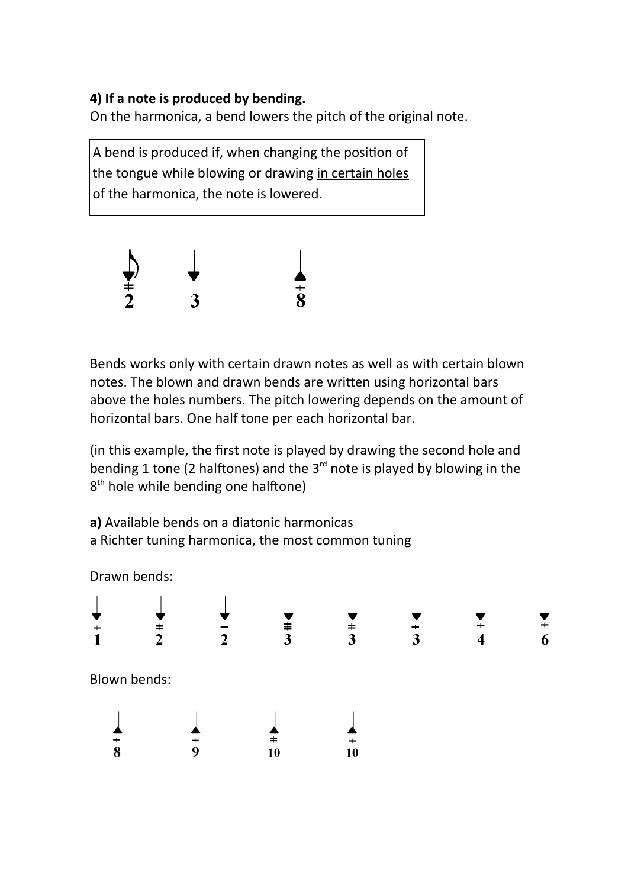## **4) If a note is produced by bending.**

On the harmonica, a bend lowers the pitch of the original note.

A bend is produced if, when changing the position of the tongue while blowing or drawing in certain holes of the harmonica, the note is lowered.



Bends works only with certain drawn notes as well as with certain blown notes. The blown and drawn bends are written using horizontal bars above the holes numbers. The pitch lowering depends on the amount of horizontal bars. One half tone per each horizontal bar.

(in this example, the first note is played by drawing the second hole and bending 1 tone (2 halftones) and the  $3<sup>rd</sup>$  note is played by blowing in the 8<sup>th</sup> hole while bending one halftone)

**a)** Available bends on a diatonic harmonicas a Richter tuning harmonica, the most common tuning

Drawn bends:

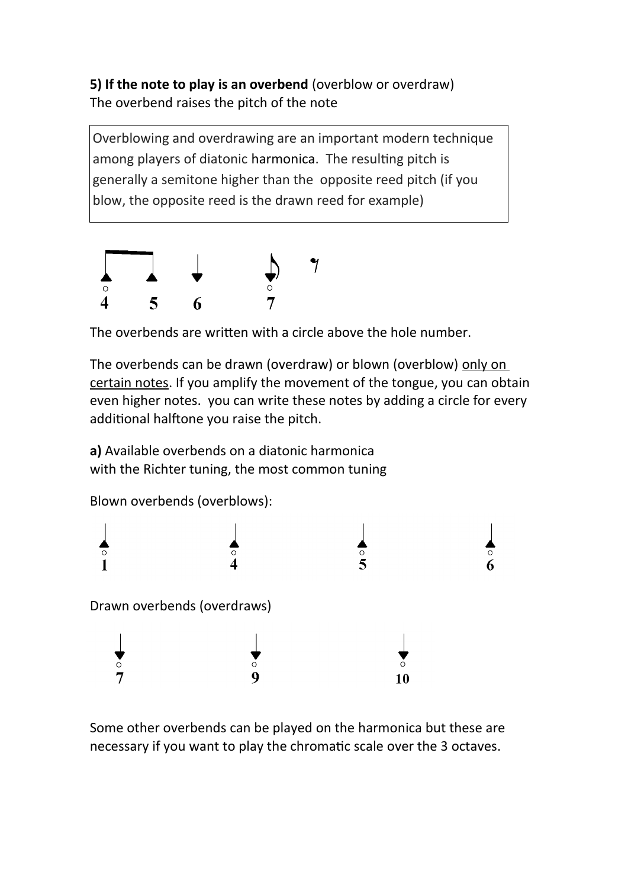**5) If the note to play is an overbend** (overblow or overdraw) The overbend raises the pitch of the note

Overblowing and overdrawing are an important modern technique among players of diatonic [harmonica](https://en.wikipedia.org/wiki/Harmonica). The resulting pitch is generally a semitone higher than the opposite reed pitch (if you blow, the opposite reed is the drawn reed for example)



The overbends are written with a circle above the hole number.

The overbends can be drawn (overdraw) or blown (overblow) only on certain notes. If you amplify the movement of the tongue, you can obtain even higher notes. you can write these notes by adding a circle for every additional halftone you raise the pitch.

**a)** Available overbends on a diatonic harmonica with the Richter tuning, the most common tuning

Blown overbends (overblows):



Some other overbends can be played on the harmonica but these are necessary if you want to play the chromatic scale over the 3 octaves.